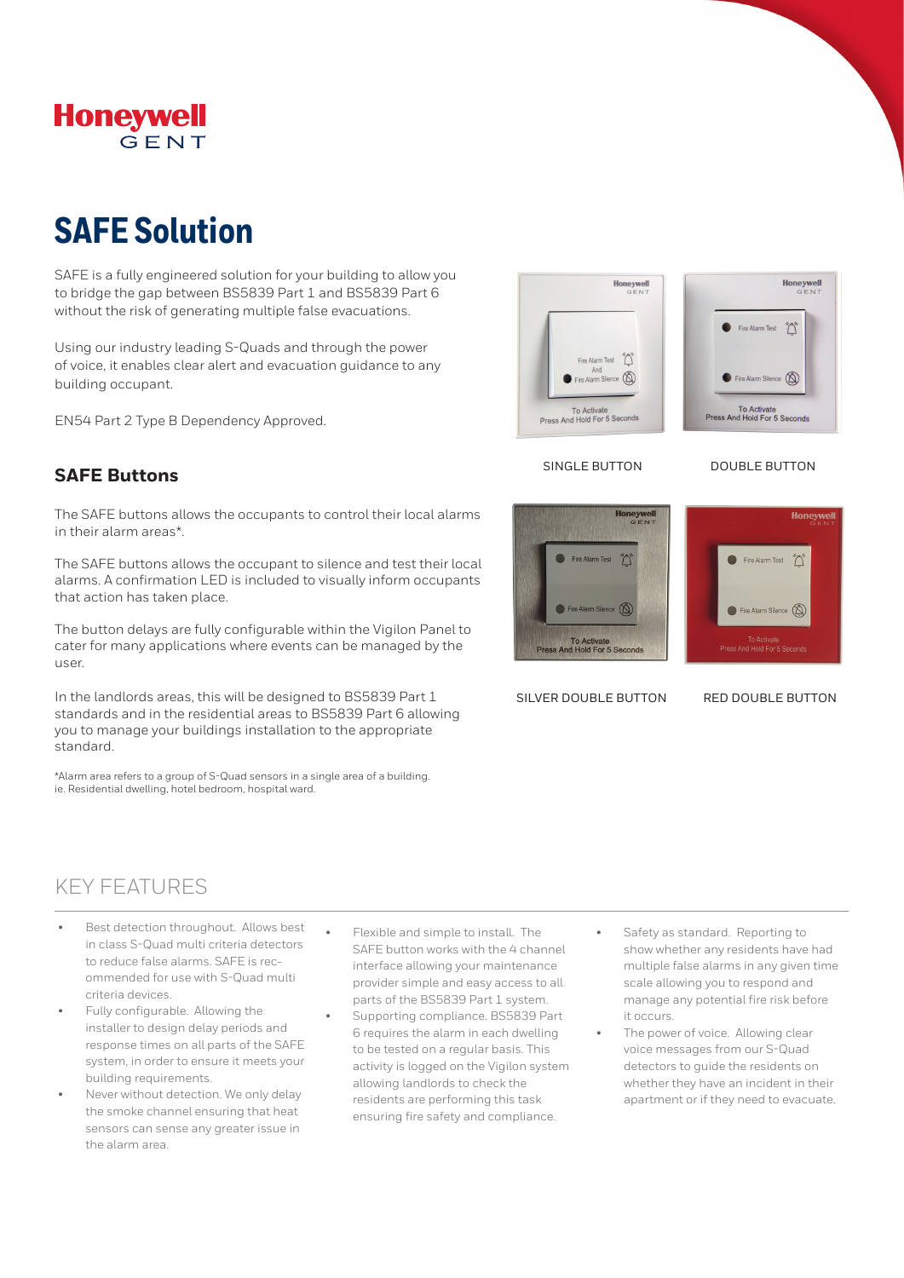

# **SAFE Solution**

SAFE is a fully engineered solution for your building to allow you to bridge the gap between BS5839 Part 1 and BS5839 Part 6 without the risk of generating multiple false evacuations.

Using our industry leading S-Quads and through the power of voice, it enables clear alert and evacuation guidance to any building occupant.

EN54 Part 2 Type B Dependency Approved.

## **SAFE Buttons**

The SAFE buttons allows the occupants to control their local alarms in their alarm areas\*.

The SAFE buttons allows the occupant to silence and test their local alarms. A confirmation LED is included to visually inform occupants that action has taken place.

The button delays are fully configurable within the Vigilon Panel to cater for many applications where events can be managed by the user.

In the landlords areas, this will be designed to BS5839 Part 1 standards and in the residential areas to BS5839 Part 6 allowing you to manage your buildings installation to the appropriate standard.

\*Alarm area refers to a group of S-Quad sensors in a single area of a building. ie. Residential dwelling, hotel bedroom, hospital ward.





SINGLE BUTTON DOUBLE BUTTON



SILVER DOUBLE BUTTON RED DOUBLE BUTTON

## KEY FEATURES

- Best detection throughout. Allows best in class S-Quad multi criteria detectors to reduce false alarms. SAFE is recommended for use with S-Quad multi criteria devices.
- Fully configurable. Allowing the installer to design delay periods and response times on all parts of the SAFE system, in order to ensure it meets your building requirements.
- Never without detection. We only delay the smoke channel ensuring that heat sensors can sense any greater issue in the alarm area.
- Flexible and simple to install. The SAFE button works with the 4 channel interface allowing your maintenance provider simple and easy access to all parts of the BS5839 Part 1 system.
- Supporting compliance. BS5839 Part 6 requires the alarm in each dwelling to be tested on a regular basis. This activity is logged on the Vigilon system allowing landlords to check the residents are performing this task ensuring fire safety and compliance.
- Safety as standard. Reporting to show whether any residents have had multiple false alarms in any given time scale allowing you to respond and manage any potential fire risk before it occurs.
- The power of voice. Allowing clear voice messages from our S-Quad detectors to guide the residents on whether they have an incident in their apartment or if they need to evacuate.